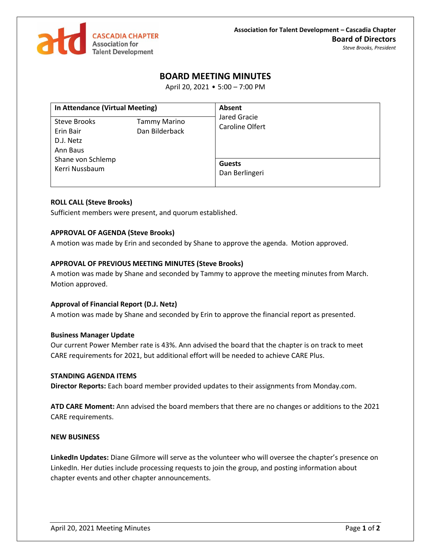

# **BOARD MEETING MINUTES**

April 20, 2021 • 5:00 – 7:00 PM

| In Attendance (Virtual Meeting)                    |                                       | Absent                          |
|----------------------------------------------------|---------------------------------------|---------------------------------|
| Steve Brooks<br>Erin Bair<br>D.J. Netz<br>Ann Baus | <b>Tammy Marino</b><br>Dan Bilderback | Jared Gracie<br>Caroline Olfert |
| Shane von Schlemp<br>Kerri Nussbaum                | <b>Guests</b><br>Dan Berlingeri       |                                 |

## **ROLL CALL (Steve Brooks)**

Sufficient members were present, and quorum established.

## **APPROVAL OF AGENDA (Steve Brooks)**

A motion was made by Erin and seconded by Shane to approve the agenda. Motion approved.

## **APPROVAL OF PREVIOUS MEETING MINUTES (Steve Brooks)**

A motion was made by Shane and seconded by Tammy to approve the meeting minutes from March. Motion approved.

#### **Approval of Financial Report (D.J. Netz)**

A motion was made by Shane and seconded by Erin to approve the financial report as presented.

#### **Business Manager Update**

Our current Power Member rate is 43%. Ann advised the board that the chapter is on track to meet CARE requirements for 2021, but additional effort will be needed to achieve CARE Plus.

#### **STANDING AGENDA ITEMS**

**Director Reports:** Each board member provided updates to their assignments from Monday.com.

**ATD CARE Moment:** Ann advised the board members that there are no changes or additions to the 2021 CARE requirements.

#### **NEW BUSINESS**

**LinkedIn Updates:** Diane Gilmore will serve as the volunteer who will oversee the chapter's presence on LinkedIn. Her duties include processing requests to join the group, and posting information about chapter events and other chapter announcements.